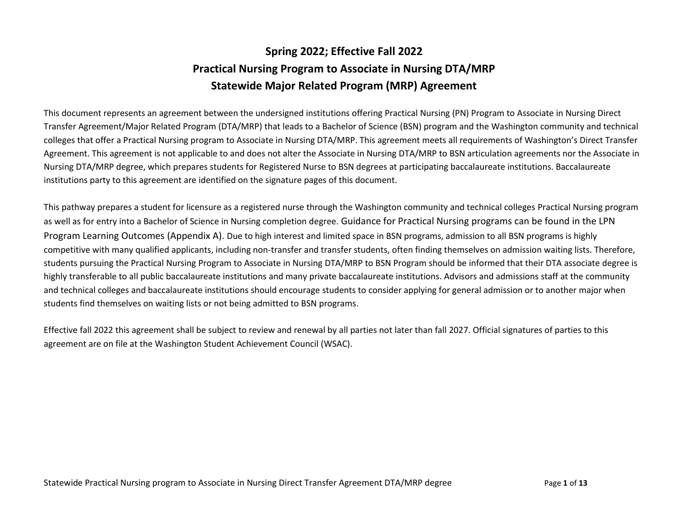# **Spring 2022; Effective Fall 2022 Practical Nursing Program to Associate in Nursing DTA/MRP Statewide Major Related Program (MRP) Agreement**

This document represents an agreement between the undersigned institutions offering Practical Nursing (PN) Program to Associate in Nursing Direct Transfer Agreement/Major Related Program (DTA/MRP) that leads to a Bachelor of Science (BSN) program and the Washington community and technical colleges that offer a Practical Nursing program to Associate in Nursing DTA/MRP. This agreement meets all requirements of Washington's Direct Transfer Agreement. This agreement is not applicable to and does not alter the Associate in Nursing DTA/MRP to BSN articulation agreements nor the Associate in Nursing DTA/MRP degree, which prepares students for Registered Nurse to BSN degrees at participating baccalaureate institutions. Baccalaureate institutions party to this agreement are identified on the signature pages of this document.

This pathway prepares a student for licensure as a registered nurse through the Washington community and technical colleges Practical Nursing program as well as for entry into a Bachelor of Science in Nursing completion degree. Guidance for Practical Nursing programs can be found in the LPN Program Learning Outcomes (Appendix A). Due to high interest and limited space in BSN programs, admission to all BSN programs is highly competitive with many qualified applicants, including non-transfer and transfer students, often finding themselves on admission waiting lists. Therefore, students pursuing the Practical Nursing Program to Associate in Nursing DTA/MRP to BSN Program should be informed that their DTA associate degree is highly transferable to all public baccalaureate institutions and many private baccalaureate institutions. Advisors and admissions staff at the community and technical colleges and baccalaureate institutions should encourage students to consider applying for general admission or to another major when students find themselves on waiting lists or not being admitted to BSN programs.

Effective fall 2022 this agreement shall be subject to review and renewal by all parties not later than fall 2027. Official signatures of parties to this agreement are on file at the Washington Student Achievement Council (WSAC).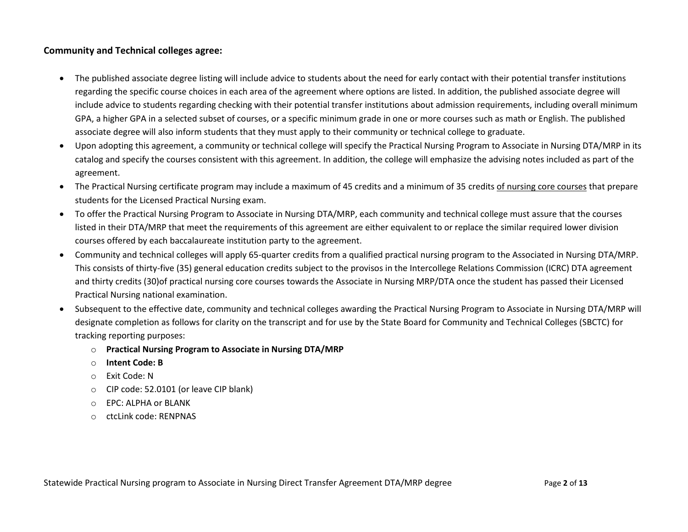## **Community and Technical colleges agree:**

- The published associate degree listing will include advice to students about the need for early contact with their potential transfer institutions regarding the specific course choices in each area of the agreement where options are listed. In addition, the published associate degree will include advice to students regarding checking with their potential transfer institutions about admission requirements, including overall minimum GPA, a higher GPA in a selected subset of courses, or a specific minimum grade in one or more courses such as math or English. The published associate degree will also inform students that they must apply to their community or technical college to graduate.
- Upon adopting this agreement, a community or technical college will specify the Practical Nursing Program to Associate in Nursing DTA/MRP in its catalog and specify the courses consistent with this agreement. In addition, the college will emphasize the advising notes included as part of the agreement.
- The Practical Nursing certificate program may include a maximum of 45 credits and a minimum of 35 credits of nursing core courses that prepare students for the Licensed Practical Nursing exam.
- To offer the Practical Nursing Program to Associate in Nursing DTA/MRP, each community and technical college must assure that the courses listed in their DTA/MRP that meet the requirements of this agreement are either equivalent to or replace the similar required lower division courses offered by each baccalaureate institution party to the agreement.
- Community and technical colleges will apply 65-quarter credits from a qualified practical nursing program to the Associated in Nursing DTA/MRP. This consists of thirty-five (35) general education credits subject to the provisos in the Intercollege Relations Commission (ICRC) DTA agreement and thirty credits (30)of practical nursing core courses towards the Associate in Nursing MRP/DTA once the student has passed their Licensed Practical Nursing national examination.
- Subsequent to the effective date, community and technical colleges awarding the Practical Nursing Program to Associate in Nursing DTA/MRP will designate completion as follows for clarity on the transcript and for use by the State Board for Community and Technical Colleges (SBCTC) for tracking reporting purposes:
	- o **Practical Nursing Program to Associate in Nursing DTA/MRP**
	- o **Intent Code: B**
	- o Exit Code: N
	- o CIP code: 52.0101 (or leave CIP blank)
	- o EPC: ALPHA or BLANK
	- o ctcLink code: RENPNAS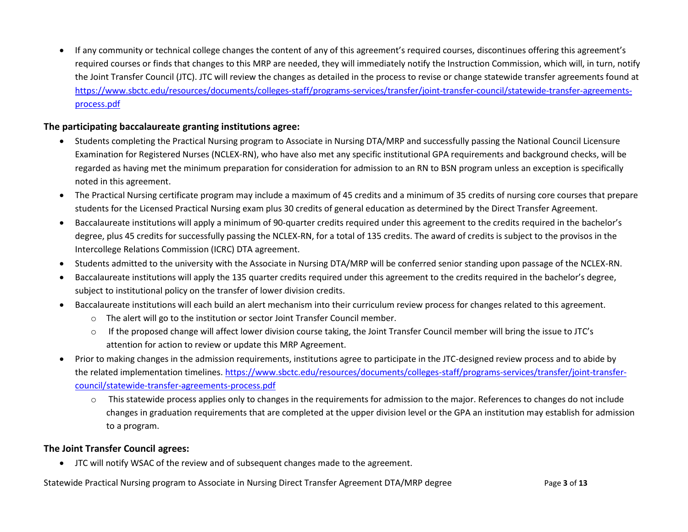• If any community or technical college changes the content of any of this agreement's required courses, discontinues offering this agreement's required courses or finds that changes to this MRP are needed, they will immediately notify the Instruction Commission, which will, in turn, notify the Joint Transfer Council (JTC). JTC will review the changes as detailed in the process to revise or change statewide transfer agreements found at [https://www.sbctc.edu/resources/documents/colleges-staff/programs-services/transfer/joint-transfer-council/statewide-transfer-agreements](https://www.sbctc.edu/resources/documents/colleges-staff/programs-services/transfer/joint-transfer-council/statewide-transfer-agreements-process.pdf)[process.pdf](https://www.sbctc.edu/resources/documents/colleges-staff/programs-services/transfer/joint-transfer-council/statewide-transfer-agreements-process.pdf)

## **The participating baccalaureate granting institutions agree:**

- Students completing the Practical Nursing program to Associate in Nursing DTA/MRP and successfully passing the National Council Licensure Examination for Registered Nurses (NCLEX-RN), who have also met any specific institutional GPA requirements and background checks, will be regarded as having met the minimum preparation for consideration for admission to an RN to BSN program unless an exception is specifically noted in this agreement.
- The Practical Nursing certificate program may include a maximum of 45 credits and a minimum of 35 credits of nursing core courses that prepare students for the Licensed Practical Nursing exam plus 30 credits of general education as determined by the Direct Transfer Agreement.
- Baccalaureate institutions will apply a minimum of 90-quarter credits required under this agreement to the credits required in the bachelor's degree, plus 45 credits for successfully passing the NCLEX-RN, for a total of 135 credits. The award of credits is subject to the provisos in the Intercollege Relations Commission (ICRC) DTA agreement.
- Students admitted to the university with the Associate in Nursing DTA/MRP will be conferred senior standing upon passage of the NCLEX-RN.
- Baccalaureate institutions will apply the 135 quarter credits required under this agreement to the credits required in the bachelor's degree, subject to institutional policy on the transfer of lower division credits.
- Baccalaureate institutions will each build an alert mechanism into their curriculum review process for changes related to this agreement.
	- o The alert will go to the institution or sector Joint Transfer Council member.
	- o If the proposed change will affect lower division course taking, the Joint Transfer Council member will bring the issue to JTC's attention for action to review or update this MRP Agreement.
- Prior to making changes in the admission requirements, institutions agree to participate in the JTC-designed review process and to abide by the related implementation timelines. [https://www.sbctc.edu/resources/documents/colleges-staff/programs-services/transfer/joint-transfer](https://www.sbctc.edu/resources/documents/colleges-staff/programs-services/transfer/joint-transfer-council/statewide-transfer-agreements-process.pdf)[council/statewide-transfer-agreements-process.pdf](https://www.sbctc.edu/resources/documents/colleges-staff/programs-services/transfer/joint-transfer-council/statewide-transfer-agreements-process.pdf)
	- $\circ$  This statewide process applies only to changes in the requirements for admission to the major. References to changes do not include changes in graduation requirements that are completed at the upper division level or the GPA an institution may establish for admission to a program.

## **The Joint Transfer Council agrees:**

• JTC will notify WSAC of the review and of subsequent changes made to the agreement.

Statewide Practical Nursing program to Associate in Nursing Direct Transfer Agreement DTA/MRP degree Page **3** of **13**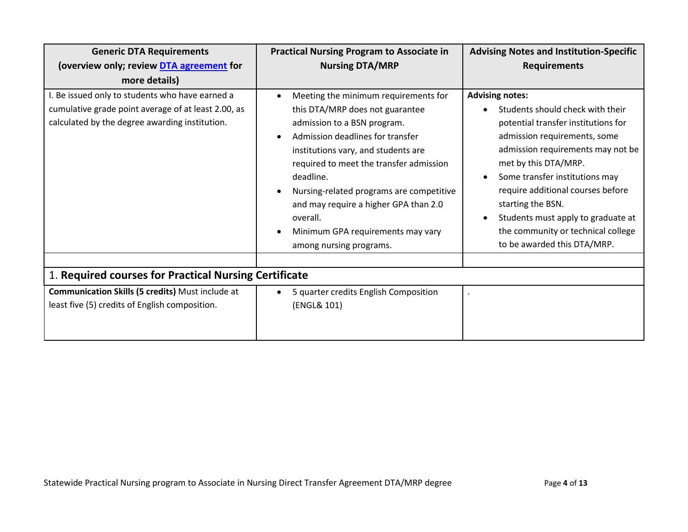| <b>Generic DTA Requirements</b>                                                                                                                          | <b>Practical Nursing Program to Associate in</b>                                                                                                                                                                                                                                                                                                                                                           | <b>Advising Notes and Institution-Specific</b>                                                                                                                                                                                                                                                                                                                                                        |  |
|----------------------------------------------------------------------------------------------------------------------------------------------------------|------------------------------------------------------------------------------------------------------------------------------------------------------------------------------------------------------------------------------------------------------------------------------------------------------------------------------------------------------------------------------------------------------------|-------------------------------------------------------------------------------------------------------------------------------------------------------------------------------------------------------------------------------------------------------------------------------------------------------------------------------------------------------------------------------------------------------|--|
| (overview only; review DTA agreement for                                                                                                                 | <b>Nursing DTA/MRP</b>                                                                                                                                                                                                                                                                                                                                                                                     | <b>Requirements</b>                                                                                                                                                                                                                                                                                                                                                                                   |  |
| more details)                                                                                                                                            |                                                                                                                                                                                                                                                                                                                                                                                                            |                                                                                                                                                                                                                                                                                                                                                                                                       |  |
| I. Be issued only to students who have earned a<br>cumulative grade point average of at least 2.00, as<br>calculated by the degree awarding institution. | Meeting the minimum requirements for<br>this DTA/MRP does not guarantee<br>admission to a BSN program.<br>Admission deadlines for transfer<br>institutions vary, and students are<br>required to meet the transfer admission<br>deadline.<br>Nursing-related programs are competitive<br>and may require a higher GPA than 2.0<br>overall.<br>Minimum GPA requirements may vary<br>among nursing programs. | <b>Advising notes:</b><br>Students should check with their<br>potential transfer institutions for<br>admission requirements, some<br>admission requirements may not be<br>met by this DTA/MRP.<br>Some transfer institutions may<br>require additional courses before<br>starting the BSN.<br>Students must apply to graduate at<br>the community or technical college<br>to be awarded this DTA/MRP. |  |
| 1. Required courses for Practical Nursing Certificate                                                                                                    |                                                                                                                                                                                                                                                                                                                                                                                                            |                                                                                                                                                                                                                                                                                                                                                                                                       |  |
| Communication Skills (5 credits) Must include at<br>least five (5) credits of English composition.                                                       | 5 quarter credits English Composition<br>$\bullet$<br>(ENGL& 101)                                                                                                                                                                                                                                                                                                                                          |                                                                                                                                                                                                                                                                                                                                                                                                       |  |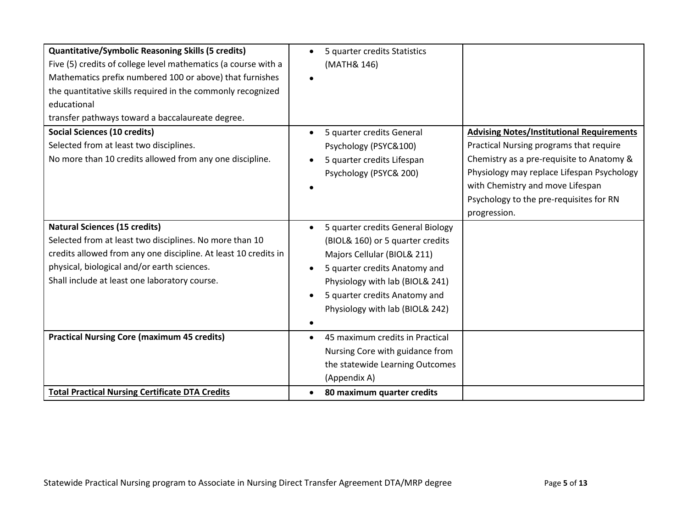| <b>Quantitative/Symbolic Reasoning Skills (5 credits)</b>       | 5 quarter credits Statistics                   |                                                  |
|-----------------------------------------------------------------|------------------------------------------------|--------------------------------------------------|
| Five (5) credits of college level mathematics (a course with a  | (MATH& 146)                                    |                                                  |
| Mathematics prefix numbered 100 or above) that furnishes        |                                                |                                                  |
| the quantitative skills required in the commonly recognized     |                                                |                                                  |
| educational                                                     |                                                |                                                  |
| transfer pathways toward a baccalaureate degree.                |                                                |                                                  |
| <b>Social Sciences (10 credits)</b>                             | 5 quarter credits General<br>$\bullet$         | <b>Advising Notes/Institutional Requirements</b> |
| Selected from at least two disciplines.                         | Psychology (PSYC&100)                          | Practical Nursing programs that require          |
| No more than 10 credits allowed from any one discipline.        | 5 quarter credits Lifespan                     | Chemistry as a pre-requisite to Anatomy &        |
|                                                                 | Psychology (PSYC& 200)                         | Physiology may replace Lifespan Psychology       |
|                                                                 |                                                | with Chemistry and move Lifespan                 |
|                                                                 |                                                | Psychology to the pre-requisites for RN          |
|                                                                 |                                                | progression.                                     |
| <b>Natural Sciences (15 credits)</b>                            | 5 quarter credits General Biology<br>$\bullet$ |                                                  |
| Selected from at least two disciplines. No more than 10         | (BIOL& 160) or 5 quarter credits               |                                                  |
| credits allowed from any one discipline. At least 10 credits in | Majors Cellular (BIOL& 211)                    |                                                  |
| physical, biological and/or earth sciences.                     | 5 quarter credits Anatomy and                  |                                                  |
| Shall include at least one laboratory course.                   | Physiology with lab (BIOL& 241)                |                                                  |
|                                                                 | 5 quarter credits Anatomy and                  |                                                  |
|                                                                 | Physiology with lab (BIOL& 242)                |                                                  |
|                                                                 |                                                |                                                  |
| <b>Practical Nursing Core (maximum 45 credits)</b>              | 45 maximum credits in Practical                |                                                  |
|                                                                 | Nursing Core with guidance from                |                                                  |
|                                                                 | the statewide Learning Outcomes                |                                                  |
|                                                                 | (Appendix A)                                   |                                                  |
| <b>Total Practical Nursing Certificate DTA Credits</b>          | 80 maximum quarter credits<br>$\bullet$        |                                                  |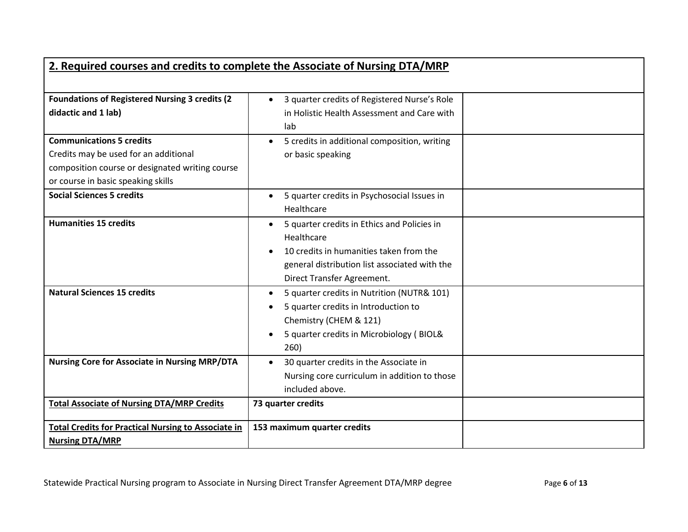| 2. Required courses and credits to complete the Associate of Nursing DTA/MRP                                                                                      |                                                                                                                                                                                     |  |  |  |
|-------------------------------------------------------------------------------------------------------------------------------------------------------------------|-------------------------------------------------------------------------------------------------------------------------------------------------------------------------------------|--|--|--|
|                                                                                                                                                                   |                                                                                                                                                                                     |  |  |  |
| <b>Foundations of Registered Nursing 3 credits (2)</b><br>didactic and 1 lab)                                                                                     | 3 quarter credits of Registered Nurse's Role<br>in Holistic Health Assessment and Care with<br>lab                                                                                  |  |  |  |
| <b>Communications 5 credits</b><br>Credits may be used for an additional<br>composition course or designated writing course<br>or course in basic speaking skills | 5 credits in additional composition, writing<br>or basic speaking                                                                                                                   |  |  |  |
| <b>Social Sciences 5 credits</b>                                                                                                                                  | 5 quarter credits in Psychosocial Issues in<br>$\bullet$<br>Healthcare                                                                                                              |  |  |  |
| <b>Humanities 15 credits</b>                                                                                                                                      | 5 quarter credits in Ethics and Policies in<br>Healthcare<br>10 credits in humanities taken from the<br>general distribution list associated with the<br>Direct Transfer Agreement. |  |  |  |
| <b>Natural Sciences 15 credits</b>                                                                                                                                | 5 quarter credits in Nutrition (NUTR& 101)<br>5 quarter credits in Introduction to<br>Chemistry (CHEM & 121)<br>5 quarter credits in Microbiology (BIOL&<br>260)                    |  |  |  |
| <b>Nursing Core for Associate in Nursing MRP/DTA</b>                                                                                                              | 30 quarter credits in the Associate in<br>Nursing core curriculum in addition to those<br>included above.                                                                           |  |  |  |
| <b>Total Associate of Nursing DTA/MRP Credits</b>                                                                                                                 | 73 quarter credits                                                                                                                                                                  |  |  |  |
| <b>Total Credits for Practical Nursing to Associate in</b><br><b>Nursing DTA/MRP</b>                                                                              | 153 maximum quarter credits                                                                                                                                                         |  |  |  |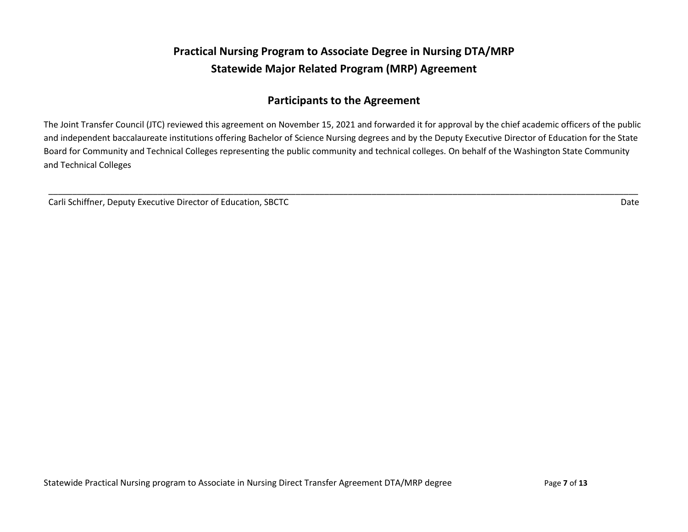## **Practical Nursing Program to Associate Degree in Nursing DTA/MRP Statewide Major Related Program (MRP) Agreement**

## **Participants to the Agreement**

The Joint Transfer Council (JTC) reviewed this agreement on November 15, 2021 and forwarded it for approval by the chief academic officers of the public and independent baccalaureate institutions offering Bachelor of Science Nursing degrees and by the Deputy Executive Director of Education for the State Board for Community and Technical Colleges representing the public community and technical colleges. On behalf of the Washington State Community and Technical Colleges

\_\_\_\_\_\_\_\_\_\_\_\_\_\_\_\_\_\_\_\_\_\_\_\_\_\_\_\_\_\_\_\_\_\_\_\_\_\_\_\_\_\_\_\_\_\_\_\_\_\_\_\_\_\_\_\_\_\_\_\_\_\_\_\_\_\_\_\_\_\_\_\_\_\_\_\_\_\_\_\_\_\_\_\_\_\_\_\_\_\_\_\_\_\_\_\_\_\_\_\_\_\_\_\_\_\_\_\_\_\_\_\_\_\_\_\_\_\_\_\_\_\_\_\_

Carli Schiffner, Deputy Executive Director of Education, SBCTC **Date of Education** Carli Schiffner, Deputy Executive Director of Education, SBCTC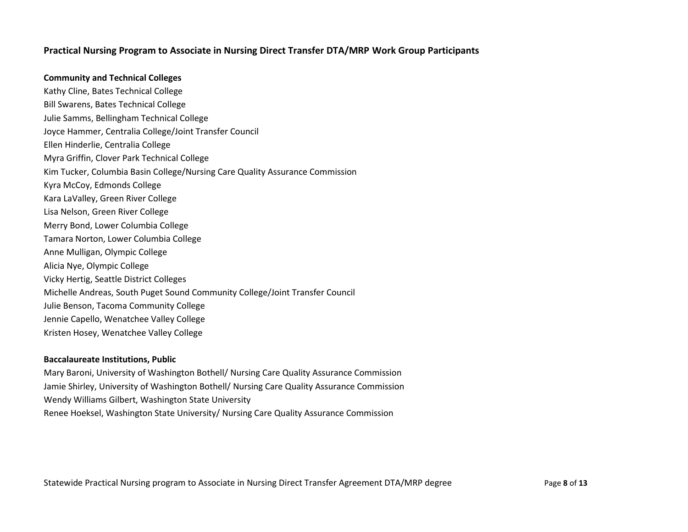## **Practical Nursing Program to Associate in Nursing Direct Transfer DTA/MRP Work Group Participants**

#### **Community and Technical Colleges**

Kathy Cline, Bates Technical College Bill Swarens, Bates Technical College Julie Samms, Bellingham Technical College Joyce Hammer, Centralia College/Joint Transfer Council Ellen Hinderlie, Centralia College Myra Griffin, Clover Park Technical College Kim Tucker, Columbia Basin College/Nursing Care Quality Assurance Commission Kyra McCoy, Edmonds College Kara LaValley, Green River College Lisa Nelson, Green River College Merry Bond, Lower Columbia College Tamara Norton, Lower Columbia College Anne Mulligan, Olympic College Alicia Nye, Olympic College Vicky Hertig, Seattle District Colleges Michelle Andreas, South Puget Sound Community College/Joint Transfer Council Julie Benson, Tacoma Community College Jennie Capello, Wenatchee Valley College Kristen Hosey, Wenatchee Valley College

#### **Baccalaureate Institutions, Public**

Mary Baroni, University of Washington Bothell/ Nursing Care Quality Assurance Commission Jamie Shirley, University of Washington Bothell/ Nursing Care Quality Assurance Commission Wendy Williams Gilbert, Washington State University Renee Hoeksel, Washington State University/ Nursing Care Quality Assurance Commission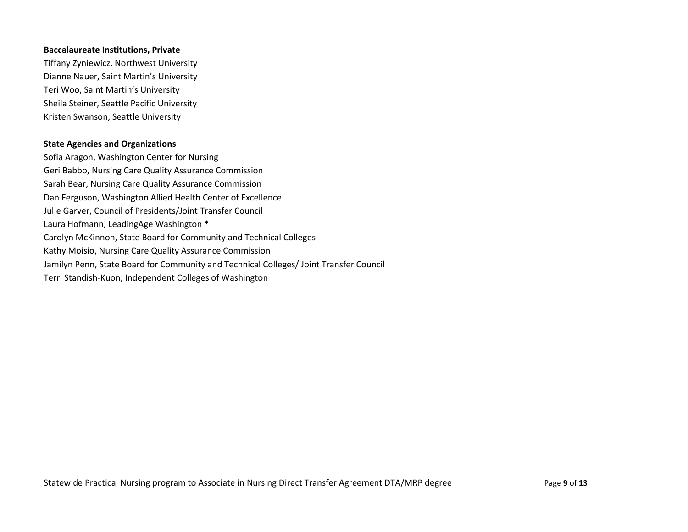#### **Baccalaureate Institutions, Private**

Tiffany Zyniewicz, Northwest University Dianne Nauer, Saint Martin's University Teri Woo, Saint Martin's University Sheila Steiner, Seattle Pacific University Kristen Swanson, Seattle University

### **State Agencies and Organizations**

Sofia Aragon, Washington Center for Nursing Geri Babbo, Nursing Care Quality Assurance Commission Sarah Bear, Nursing Care Quality Assurance Commission Dan Ferguson, Washington Allied Health Center of Excellence Julie Garver, Council of Presidents/Joint Transfer Council Laura Hofmann, LeadingAge Washington \* Carolyn McKinnon, State Board for Community and Technical Colleges Kathy Moisio, Nursing Care Quality Assurance Commission Jamilyn Penn, State Board for Community and Technical Colleges/ Joint Transfer Council Terri Standish-Kuon, Independent Colleges of Washington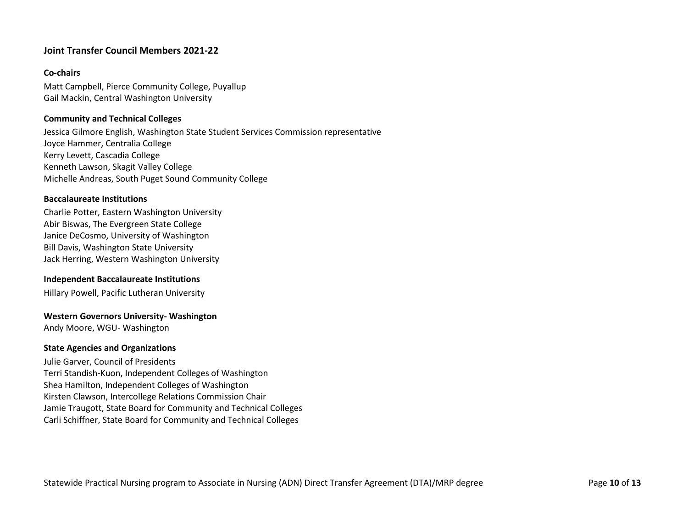## **Joint Transfer Council Members 2021-22**

## **Co-chairs**

Matt Campbell, Pierce Community College, Puyallup Gail Mackin, Central Washington University

### **Community and Technical Colleges**

Jessica Gilmore English, Washington State Student Services Commission representative Joyce Hammer, Centralia College Kerry Levett, Cascadia College Kenneth Lawson, Skagit Valley College Michelle Andreas, South Puget Sound Community College

### **Baccalaureate Institutions**

Charlie Potter, Eastern Washington University Abir Biswas, The Evergreen State College Janice DeCosmo, University of Washington Bill Davis, Washington State University Jack Herring, Western Washington University

### **Independent Baccalaureate Institutions**

Hillary Powell, Pacific Lutheran University

### **Western Governors University- Washington**

Andy Moore, WGU- Washington

### **State Agencies and Organizations**

Julie Garver, Council of Presidents Terri Standish-Kuon, Independent Colleges of Washington Shea Hamilton, Independent Colleges of Washington Kirsten Clawson, Intercollege Relations Commission Chair Jamie Traugott, State Board for Community and Technical Colleges Carli Schiffner, State Board for Community and Technical Colleges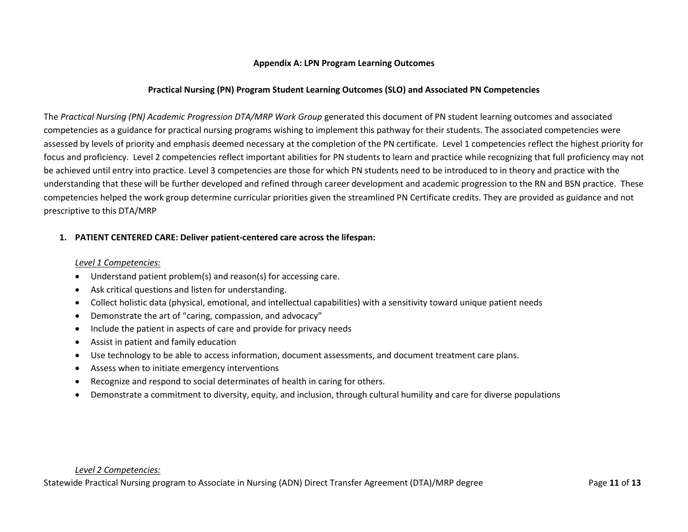## **Appendix A: LPN Program Learning Outcomes**

## **Practical Nursing (PN) Program Student Learning Outcomes (SLO) and Associated PN Competencies**

The *Practical Nursing (PN) Academic Progression DTA/MRP Work Group* generated this document of PN student learning outcomes and associated competencies as a guidance for practical nursing programs wishing to implement this pathway for their students. The associated competencies were assessed by levels of priority and emphasis deemed necessary at the completion of the PN certificate. Level 1 competencies reflect the highest priority for focus and proficiency. Level 2 competencies reflect important abilities for PN students to learn and practice while recognizing that full proficiency may not be achieved until entry into practice. Level 3 competencies are those for which PN students need to be introduced to in theory and practice with the understanding that these will be further developed and refined through career development and academic progression to the RN and BSN practice. These competencies helped the work group determine curricular priorities given the streamlined PN Certificate credits. They are provided as guidance and not prescriptive to this DTA/MRP

## **1. PATIENT CENTERED CARE: Deliver patient-centered care across the lifespan:**

#### *Level 1 Competencies:*

- Understand patient problem(s) and reason(s) for accessing care.
- Ask critical questions and listen for understanding.
- Collect holistic data (physical, emotional, and intellectual capabilities) with a sensitivity toward unique patient needs
- Demonstrate the art of "caring, compassion, and advocacy"
- Include the patient in aspects of care and provide for privacy needs
- Assist in patient and family education
- Use technology to be able to access information, document assessments, and document treatment care plans.
- Assess when to initiate emergency interventions
- Recognize and respond to social determinates of health in caring for others.
- Demonstrate a commitment to diversity, equity, and inclusion, through cultural humility and care for diverse populations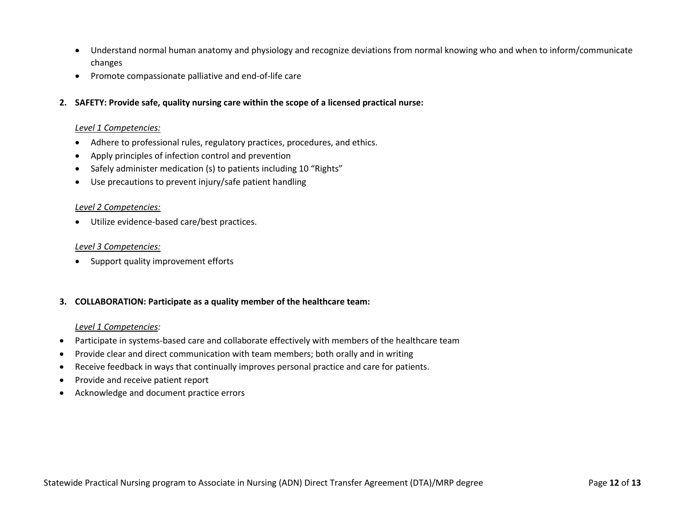- Understand normal human anatomy and physiology and recognize deviations from normal knowing who and when to inform/communicate changes
- Promote compassionate palliative and end-of-life care
- **2. SAFETY: Provide safe, quality nursing care within the scope of a licensed practical nurse:**

#### *Level 1 Competencies:*

- Adhere to professional rules, regulatory practices, procedures, and ethics.
- Apply principles of infection control and prevention
- Safely administer medication (s) to patients including 10 "Rights"
- Use precautions to prevent injury/safe patient handling

#### *Level 2 Competencies:*

• Utilize evidence-based care/best practices.

#### *Level 3 Competencies:*

• Support quality improvement efforts

### **3. COLLABORATION: Participate as a quality member of the healthcare team:**

#### *Level 1 Competencies:*

- Participate in systems-based care and collaborate effectively with members of the healthcare team
- Provide clear and direct communication with team members; both orally and in writing
- Receive feedback in ways that continually improves personal practice and care for patients.
- Provide and receive patient report
- Acknowledge and document practice errors